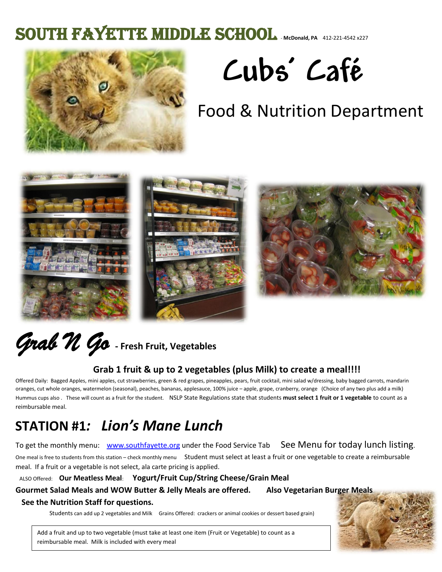## SOUTH FAYETTE MIDDLE SCHOOL **MCDONAL ALLEX** 412-221-4542 x227



# **Cubs' Café**

# Food & Nutrition Department



# *Grab N Go* **- Fresh Fruit, Vegetables**

#### **Grab 1 fruit & up to 2 vegetables (plus Milk) to create a meal!!!!**

Offered Daily: Bagged Apples, mini apples, cut strawberries, green & red grapes, pineapples, pears, fruit cocktail, mini salad w/dressing, baby bagged carrots, mandarin oranges, cut whole oranges, watermelon (seasonal), peaches, bananas, applesauce, 100% juice – apple, grape, cranberry, orange (Choice of any two plus add a milk) Hummus cups also . These will count as a fruit for the student. NSLP State Regulations state that students **must select 1 fruit or 1 vegetable** to count as a reimbursable meal. Ì

### **STATION #1***: Lion's Mane Lunch*

#### To get the monthly menu: [www.southfayette.org](http://www.southfayette.org/) under the Food Service Tab See Menu for today lunch listing.

One meal is free to students from this station – check monthly menu Student must select at least a fruit or one vegetable to create a reimbursable meal. If a fruit or a vegetable is not select, ala carte pricing is applied.

#### ALSO Offered: **Our Meatless Meal**: **Yogurt/Fruit Cup/String Cheese/Grain Meal**

**Gourmet Salad Meals and WOW Butter & Jelly Meals are offered. Also Vegetarian B[urger Meals](https://www.bing.com/images/search?q=baby+lion+cub+with+mane&view=detailv2&&id=1CCD82883E9D49CA64648FC9ECE5F2880009A64F&selectedIndex=205&ccid=O7OsYklH&simid=607987956649888625&thid=OIP.M3bb3ac6249472afea6d7b94b4a6738b1o0)  See the Nutrition Staff for questions.** 

Students can add up 2 vegetables and Milk Grains Offered: crackers or animal cookies or dessert based grain)



Add a fruit and up to two vegetable (must take at least one item (Fruit or Vegetable) to count as a reimbursable meal. Milk is included with every meal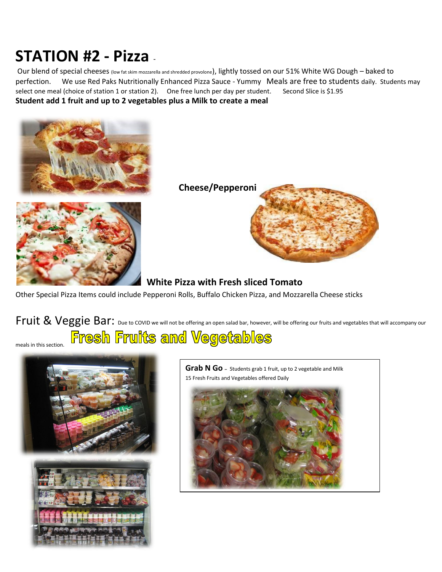## **STATION #2 - Pizza** -

Our blend of special cheeses (low fat skim mozzarella and shredded provolone), lightly tossed on our 51% White WG Dough – baked to perfection. We use Red Paks Nutritionally Enhanced Pizza Sauce - Yummy Meals are free to students daily. Students may select one meal (choice of station 1 or station 2). One free lunch per day per student. Second Slice is \$1.95 **Student add 1 fruit and up to 2 vegetables plus a Milk to create a meal** 





**Cheese/Peppero[ni](https://www.bing.com/images/search?q=pizza&view=detailv2&&id=2559FBC810C6CB963C042ED810D2EE094F2945A7&selectedIndex=12&ccid=hKdUf8F2&simid=608029888421495901&thid=OIP.M84a7547fc176876cfa7aa61e9d76d982o0)** 



#### **White Pizza with Fresh sliced Tomato**

Other Special Pizza Items could include Pepperoni Rolls, Buffalo Chicken Pizza, and Mozzarella Cheese sticks

### Fruit & Veggie Bar: Due to COVID we will not be offering an open salad bar, however, will be offering our fruits and vegetables that will accompany our Fresh Fruits and Vegetables

meals in this section.